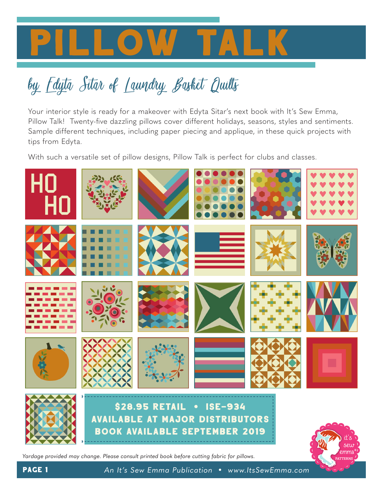

# by Edyta Sitar of Laundry Basket Quilts

Your interior style is ready for a makeover with Edyta Sitar's next book with It's Sew Emma, Pillow Talk! Twenty-five dazzling pillows cover different holidays, seasons, styles and sentiments. Sample different techniques, including paper piecing and applique, in these quick projects with tips from Edyta.

With such a versatile set of pillow designs, Pillow Talk is perfect for clubs and classes.



*Yardage provided may change. Please consult printed book before cutting fabric for pillows.*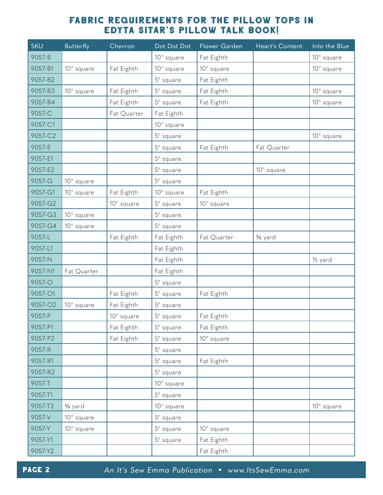| <b>SKU</b> | <b>Butterfly</b> | Chevron     | Dot Dot Dot  | Flower Garden | Heart's Content | Into the Blue        |
|------------|------------------|-------------|--------------|---------------|-----------------|----------------------|
| 9057-B     |                  |             | 10" square   | Fat Eighth    |                 | 10" square           |
| 9057-B1    | 10" square       | Fat Eighth  | 10" square   | 10" square    |                 | 10" square           |
| 9057-B2    |                  |             | 5" square    | Fat Eighth    |                 |                      |
| 9057-B3    | 10" square       | Fat Eighth  | 5" square    | Fat Eighth    |                 | 10" square           |
| 9057-B4    |                  | Fat Eighth  | 5" square    | Fat Eighth    |                 | 10" square           |
| 9057-C     |                  | Fat Quarter | Fat Eighth   |               |                 |                      |
| 9057-C1    |                  |             | 10" square   |               |                 |                      |
| 9057-C2    |                  |             | 5" square    |               |                 | 10" square           |
| 9057-E     |                  |             | 5" square    | Fat Eighth    | Fat Quarter     |                      |
| 9057-E1    |                  |             | 5" square    |               |                 |                      |
| 9057-E2    |                  |             | 5" square    |               | 10" square      |                      |
| 9057-G     | 10" square       |             | 5" square    |               |                 |                      |
| 9057-G1    | 10" square       | Fat Eighth  | 10" square   | Fat Eighth    |                 |                      |
| 9057-G2    |                  | 10" square  | 5" square    | 10" square    |                 |                      |
| 9057-G3    | 10" square       |             | 5" square    |               |                 |                      |
| 9057-G4    | 10" square       |             | 5" square    |               |                 |                      |
| 9057-L     |                  | Fat Eighth  | Fat Eighth   | Fat Quarter   | % yard          |                      |
| 9057-L1    |                  |             | Fat Eighth   |               |                 |                      |
| 9057-N     |                  |             | Fat Eighth   |               |                 | 1/ <sub>2</sub> yard |
| 9057-N1    | Fat Quarter      |             | Fat Eighth   |               |                 |                      |
| 9057-O     |                  |             | $5''$ square |               |                 |                      |
| 9057-O1    |                  | Fat Eighth  | 5" square    | Fat Eighth    |                 |                      |
| 9057-O2    | 10" square       | Fat Eighth  | 5" square    |               |                 |                      |
| 9057-P     |                  | 10" square  | 5" square    | Fat Eighth    |                 |                      |
| 9057-P1    |                  | Fat Eighth  | 5" square    | Fat Eighth    |                 |                      |
| 9057-P2    |                  | Fat Eighth  | 5" square    | 10" square    |                 |                      |
| 9057-R     |                  |             | 5" square    |               |                 |                      |
| 9057-R1    |                  |             | 5" square    | Fat Eighth    |                 |                      |
| 9057-R2    |                  |             | 5" square    |               |                 |                      |
| 9057-T     |                  |             | 10" square   |               |                 |                      |
| 9057-T1    |                  |             | 5" square    |               |                 |                      |
| 9057-T2    | % yard           |             | 10" square   |               |                 | 10" square           |
| 9057-V     | 10" square       |             | 5" square    |               |                 |                      |
| 9057-Y     | 10" square       |             | 5" square    | 10" square    |                 |                      |
| 9057-Y1    |                  |             | 5" square    | Fat Eighth    |                 |                      |
| 9057-Y2    |                  |             |              | Fat Eighth    |                 |                      |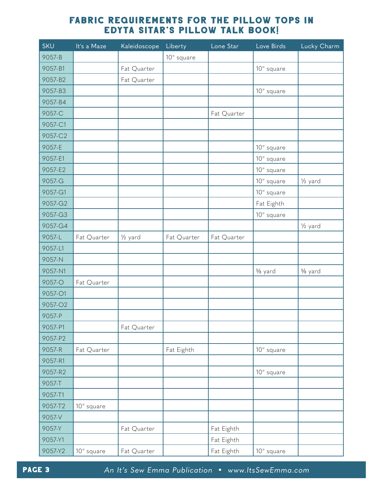| <b>SKU</b> | It's a Maze | Kaleidoscope         | Liberty     | Lone Star   | Love Birds | Lucky Charm          |
|------------|-------------|----------------------|-------------|-------------|------------|----------------------|
| 9057-B     |             |                      | 10" square  |             |            |                      |
| 9057-B1    |             | Fat Quarter          |             |             | 10" square |                      |
| 9057-B2    |             | Fat Quarter          |             |             |            |                      |
| 9057-B3    |             |                      |             |             | 10" square |                      |
| 9057-B4    |             |                      |             |             |            |                      |
| 9057-C     |             |                      |             | Fat Quarter |            |                      |
| 9057-C1    |             |                      |             |             |            |                      |
| 9057-C2    |             |                      |             |             |            |                      |
| 9057-E     |             |                      |             |             | 10" square |                      |
| 9057-E1    |             |                      |             |             | 10" square |                      |
| 9057-E2    |             |                      |             |             | 10" square |                      |
| 9057-G     |             |                      |             |             | 10" square | 1/ <sub>2</sub> yard |
| 9057-G1    |             |                      |             |             | 10" square |                      |
| 9057-G2    |             |                      |             |             | Fat Eighth |                      |
| 9057-G3    |             |                      |             |             | 10" square |                      |
| 9057-G4    |             |                      |             |             |            | $\frac{1}{2}$ yard   |
| 9057-L     | Fat Quarter | 1/ <sub>2</sub> yard | Fat Quarter | Fat Quarter |            |                      |
| 9057-L1    |             |                      |             |             |            |                      |
| 9057-N     |             |                      |             |             |            |                      |
| 9057-N1    |             |                      |             |             | % yard     | % yard               |
| 9057-O     | Fat Quarter |                      |             |             |            |                      |
| 9057-O1    |             |                      |             |             |            |                      |
| 9057-O2    |             |                      |             |             |            |                      |
| 9057-P     |             |                      |             |             |            |                      |
| 9057-P1    |             | Fat Quarter          |             |             |            |                      |
| 9057-P2    |             |                      |             |             |            |                      |
| 9057-R     | Fat Quarter |                      | Fat Eighth  |             | 10" square |                      |
| 9057-R1    |             |                      |             |             |            |                      |
| 9057-R2    |             |                      |             |             | 10" square |                      |
| 9057-T     |             |                      |             |             |            |                      |
| 9057-T1    |             |                      |             |             |            |                      |
| 9057-T2    | 10" square  |                      |             |             |            |                      |
| 9057-V     |             |                      |             |             |            |                      |
| 9057-Y     |             | Fat Quarter          |             | Fat Eighth  |            |                      |
| 9057-Y1    |             |                      |             | Fat Eighth  |            |                      |
| 9057-Y2    | 10" square  | Fat Quarter          |             | Fat Eighth  | 10" square |                      |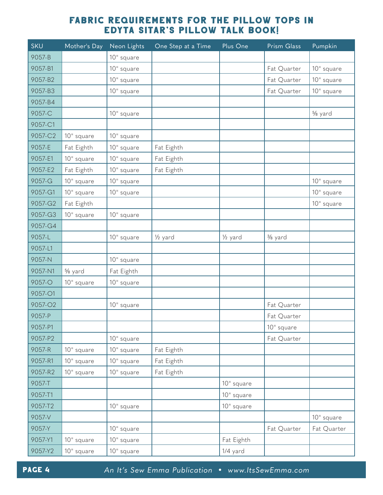| <b>SKU</b> | Mother's Day | Neon Lights  | One Step at a Time   | Plus One           | Prism Glass | Pumpkin     |
|------------|--------------|--------------|----------------------|--------------------|-------------|-------------|
| 9057-B     |              | 10" square   |                      |                    |             |             |
| 9057-B1    |              | 10" square   |                      |                    | Fat Quarter | 10" square  |
| 9057-B2    |              | 10" square   |                      |                    | Fat Quarter | 10" square  |
| 9057-B3    |              | 10" square   |                      |                    | Fat Quarter | 10" square  |
| 9057-B4    |              |              |                      |                    |             |             |
| 9057-C     |              | 10" square   |                      |                    |             | % yard      |
| 9057-C1    |              |              |                      |                    |             |             |
| 9057-C2    | 10" square   | 10" square   |                      |                    |             |             |
| 9057-E     | Fat Eighth   | 10" square   | Fat Eighth           |                    |             |             |
| 9057-E1    | 10" square   | 10" square   | Fat Eighth           |                    |             |             |
| 9057-E2    | Fat Eighth   | 10" square   | Fat Eighth           |                    |             |             |
| 9057-G     | 10" square   | 10" square   |                      |                    |             | 10" square  |
| 9057-G1    | 10" square   | 10" square   |                      |                    |             | 10" square  |
| 9057-G2    | Fat Eighth   |              |                      |                    |             | 10" square  |
| 9057-G3    | 10" square   | 10" square   |                      |                    |             |             |
| 9057-G4    |              |              |                      |                    |             |             |
| 9057-L     |              | 10" square   | 1/ <sub>2</sub> yard | $\frac{1}{2}$ yard | % yard      |             |
| 9057-L1    |              |              |                      |                    |             |             |
| 9057-N     |              | 10" square   |                      |                    |             |             |
| 9057-N1    | % yard       | Fat Eighth   |                      |                    |             |             |
| 9057-O     | 10" square   | 10" square   |                      |                    |             |             |
| 9057-O1    |              |              |                      |                    |             |             |
| 9057-O2    |              | 10" square   |                      |                    | Fat Quarter |             |
| 9057-P     |              |              |                      |                    | Fat Quarter |             |
| 9057-P1    |              |              |                      |                    | 10" square  |             |
| 9057-P2    |              | 10" square   |                      |                    | Fat Quarter |             |
| 9057-R     | 10" square   | 10" square   | Fat Eighth           |                    |             |             |
| 9057-R1    | 10" square   | 10" square   | Fat Eighth           |                    |             |             |
| 9057-R2    | 10" square   | 10" square   | Fat Eighth           |                    |             |             |
| 9057-T     |              |              |                      | 10" square         |             |             |
| 9057-T1    |              |              |                      | 10" square         |             |             |
| 9057-T2    |              | $10°$ square |                      | 10" square         |             |             |
| 9057-V     |              |              |                      |                    |             | 10" square  |
| 9057-Y     |              | 10" square   |                      |                    | Fat Quarter | Fat Quarter |
| 9057-Y1    | 10" square   | 10" square   |                      | Fat Eighth         |             |             |
| 9057-Y2    | 10" square   | 10" square   |                      | 1/4 yard           |             |             |